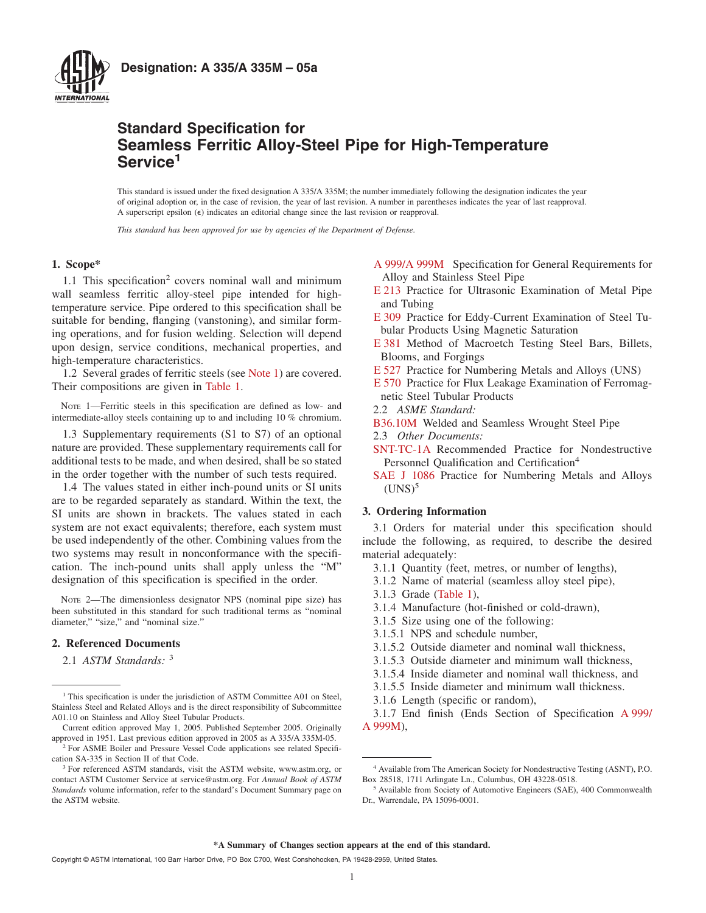

# **Standard Specification for Seamless Ferritic Alloy-Steel Pipe for High-Temperature Service<sup>1</sup>**

This standard is issued under the fixed designation A 335/A 335M; the number immediately following the designation indicates the year of original adoption or, in the case of revision, the year of last revision. A number in parentheses indicates the year of last reapproval. A superscript epsilon  $(\epsilon)$  indicates an editorial change since the last revision or reapproval.

*This standard has been approved for use by agencies of the Department of Defense.*

# **1. Scope\***

1.1 This specification<sup>2</sup> covers nominal wall and minimum wall seamless ferritic alloy-steel pipe intended for hightemperature service. Pipe ordered to this specification shall be suitable for bending, flanging (vanstoning), and similar forming operations, and for fusion welding. Selection will depend upon design, service conditions, mechanical properties, and high-temperature characteristics.

1.2 Several grades of ferritic steels (see [Note 1\)](#page-0-0) are covered. Their compositions are given in [Table 1.](#page-1-0)

NOTE 1—Ferritic steels in this specification are defined as low- and intermediate-alloy steels containing up to and including 10 % chromium.

1.3 Supplementary requirements (S1 to S7) of an optional nature are provided. These supplementary requirements call for additional tests to be made, and when desired, shall be so stated in the order together with the number of such tests required.

1.4 The values stated in either inch-pound units or SI units are to be regarded separately as standard. Within the text, the SI units are shown in brackets. The values stated in each system are not exact equivalents; therefore, each system must be used independently of the other. Combining values from the two systems may result in nonconformance with the specification. The inch-pound units shall apply unless the "M" designation of this specification is specified in the order.

NOTE 2—The dimensionless designator NPS (nominal pipe size) has been substituted in this standard for such traditional terms as "nominal diameter," "size," and "nominal size."

# **2. Referenced Documents**

2.1 *ASTM Standards:* <sup>3</sup>

- <span id="page-0-7"></span><span id="page-0-4"></span>[E 213](#page-4-0) Practice for Ultrasonic Examination of Metal Pipe and Tubing
- [E 309](#page-4-0) Practice for Eddy-Current Examination of Steel Tubular Products Using Magnetic Saturation
- <span id="page-0-9"></span>[E 381](#page-7-0) Method of Macroetch Testing Steel Bars, Billets, Blooms, and Forgings
- <span id="page-0-5"></span><span id="page-0-2"></span><span id="page-0-0"></span>[E 527](#page-1-1) Practice for Numbering Metals and Alloys (UNS)
- [E 570](#page-4-0) Practice for Flux Leakage Examination of Ferromagnetic Steel Tubular Products
- <span id="page-0-10"></span>2.2 *ASME Standard:*
- [B36.10M](#page-3-0) Welded and Seamless Wrought Steel Pipe
- <span id="page-0-6"></span>2.3 *Other Documents:*
- [SNT-TC-1A](#page-4-1) Recommended Practice for Nondestructive Personnel Qualification and Certification<sup>4</sup>
- <span id="page-0-3"></span>[SAE J 1086](#page-1-1) Practice for Numbering Metals and Alloys  $(UNS)<sup>5</sup>$

# **3. Ordering Information**

3.1 Orders for material under this specification should include the following, as required, to describe the desired material adequately:

- 3.1.1 Quantity (feet, metres, or number of lengths),
- 3.1.2 Name of material (seamless alloy steel pipe),
- 3.1.3 Grade [\(Table 1\)](#page-1-0),
- 3.1.4 Manufacture (hot-finished or cold-drawn),
- 3.1.5 Size using one of the following:
- 3.1.5.1 NPS and schedule number,
- 3.1.5.2 Outside diameter and nominal wall thickness,
- 3.1.5.3 Outside diameter and minimum wall thickness,
- 3.1.5.4 Inside diameter and nominal wall thickness, and
- 3.1.5.5 Inside diameter and minimum wall thickness.
- 3.1.6 Length (specific or random),

<span id="page-0-1"></span>3.1.7 End finish (Ends Section of Specification [A 999/](#page-1-2) [A 999M\)](#page-1-2),

<sup>&</sup>lt;sup>1</sup> This specification is under the jurisdiction of ASTM Committee A01 on Steel, Stainless Steel and Related Alloys and is the direct responsibility of Subcommittee A01.10 on Stainless and Alloy Steel Tubular Products.

Current edition approved May 1, 2005. Published September 2005. Originally approved in 1951. Last previous edition approved in 2005 as A 335/A 335M-05.

<sup>&</sup>lt;sup>2</sup> For ASME Boiler and Pressure Vessel Code applications see related Specification SA-335 in Section II of that Code.

<sup>&</sup>lt;sup>3</sup> For referenced ASTM standards, visit the ASTM website, www.astm.org, or contact ASTM Customer Service at service@astm.org. For *Annual Book of ASTM Standards* volume information, refer to the standard's Document Summary page on the ASTM website.

<span id="page-0-8"></span>[A 999/A 999M](#page-0-1) Specification for General Requirements for Alloy and Stainless Steel Pipe

<sup>4</sup> Available from The American Society for Nondestructive Testing (ASNT), P.O. Box 28518, 1711 Arlingate Ln., Columbus, OH 43228-0518.

<sup>5</sup> Available from Society of Automotive Engineers (SAE), 400 Commonwealth Dr., Warrendale, PA 15096-0001.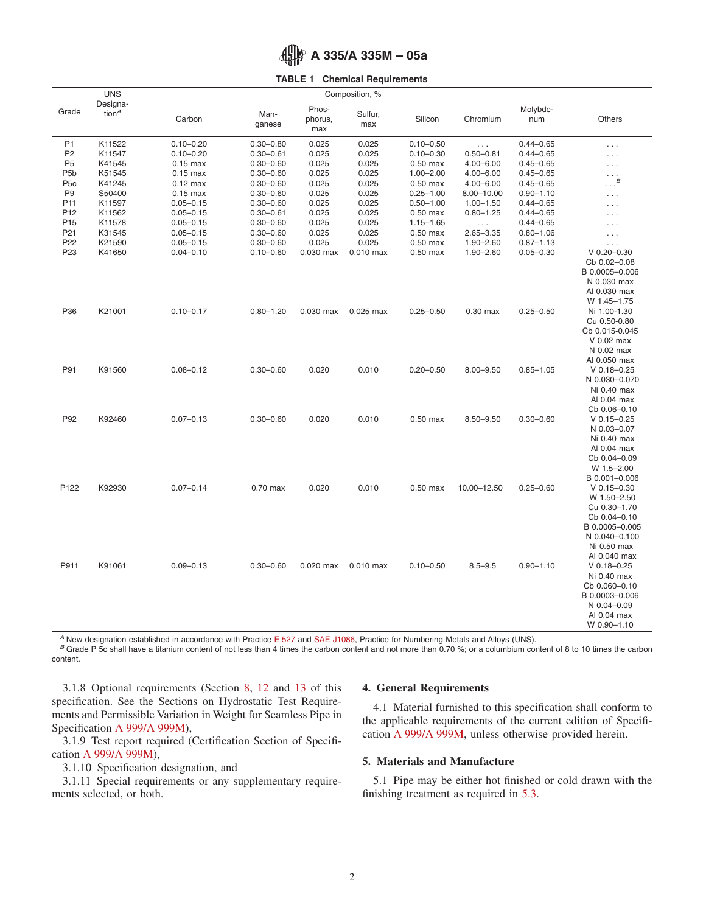

# <span id="page-1-0"></span>**TABLE 1 Chemical Requirements**

|                  | <b>UNS</b>                        |               |                |                         | Composition, % |               |                      |                 |                              |
|------------------|-----------------------------------|---------------|----------------|-------------------------|----------------|---------------|----------------------|-----------------|------------------------------|
| Grade            | Designa-<br>tion $^{\mathcal{A}}$ | Carbon        | Man-<br>ganese | Phos-<br>phorus,<br>max | Sulfur,<br>max | Silicon       | Chromium             | Molybde-<br>num | Others                       |
| P <sub>1</sub>   | K11522                            | $0.10 - 0.20$ | $0.30 - 0.80$  | 0.025                   | 0.025          | $0.10 - 0.50$ | $\sim$ $\sim$ $\sim$ | $0.44 - 0.65$   | $\sim$ $\sim$ $\sim$         |
| P <sub>2</sub>   | K11547                            | $0.10 - 0.20$ | $0.30 - 0.61$  | 0.025                   | 0.025          | $0.10 - 0.30$ | $0.50 - 0.81$        | $0.44 - 0.65$   | $\sim$ $\sim$ $\sim$         |
| P <sub>5</sub>   | K41545                            | $0.15$ max    | $0.30 - 0.60$  | 0.025                   | 0.025          | $0.50$ max    | $4.00 - 6.00$        | $0.45 - 0.65$   | $\cdots$                     |
| P <sub>5</sub> b | K51545                            | $0.15$ max    | $0.30 - 0.60$  | 0.025                   | 0.025          | $1.00 - 2.00$ | $4.00 - 6.00$        | $0.45 - 0.65$   | $\sim$ $\sim$ $\sim$         |
| P <sub>5c</sub>  | K41245                            | $0.12$ max    | $0.30 - 0.60$  | 0.025                   | 0.025          | $0.50$ max    | $4.00 - 6.00$        | $0.45 - 0.65$   | $\ldots$ <sup>B</sup>        |
| P <sub>9</sub>   | S50400                            | $0.15$ max    | $0.30 - 0.60$  | 0.025                   | 0.025          | $0.25 - 1.00$ | $8.00 - 10.00$       | $0.90 - 1.10$   | $\sim$ $\sim$ $\sim$         |
| P <sub>11</sub>  | K11597                            | $0.05 - 0.15$ | $0.30 - 0.60$  | 0.025                   | 0.025          | $0.50 - 1.00$ | $1.00 - 1.50$        | $0.44 - 0.65$   | $\cdots$                     |
| P <sub>12</sub>  | K11562                            | $0.05 - 0.15$ | $0.30 - 0.61$  | 0.025                   | 0.025          | $0.50$ max    | $0.80 - 1.25$        | $0.44 - 0.65$   | $\cdots$                     |
| P <sub>15</sub>  | K11578                            | $0.05 - 0.15$ | $0.30 - 0.60$  | 0.025                   | 0.025          | $1.15 - 1.65$ | $\sim$ $\sim$ $\sim$ | $0.44 - 0.65$   | $\sim$ $\sim$ $\sim$         |
| P21              | K31545                            | $0.05 - 0.15$ | $0.30 - 0.60$  | 0.025                   | 0.025          | $0.50$ max    | $2.65 - 3.35$        | $0.80 - 1.06$   | $\sim$ $\sim$ $\sim$         |
| P <sub>22</sub>  | K21590                            | $0.05 - 0.15$ | $0.30 - 0.60$  | 0.025                   | 0.025          | $0.50$ max    | $1.90 - 2.60$        | $0.87 - 1.13$   | $\sim$ $\sim$ $\sim$         |
| P <sub>23</sub>  | K41650                            | $0.04 - 0.10$ | $0.10 - 0.60$  | 0.030 max               | $0.010$ max    | $0.50$ max    | $1.90 - 2.60$        | $0.05 - 0.30$   | $V$ 0.20-0.30                |
|                  |                                   |               |                |                         |                |               |                      |                 | Cb 0.02-0.08                 |
|                  |                                   |               |                |                         |                |               |                      |                 | B 0.0005-0.006               |
|                  |                                   |               |                |                         |                |               |                      |                 | N 0.030 max                  |
|                  |                                   |               |                |                         |                |               |                      |                 | Al 0.030 max                 |
| P36              | K21001                            | $0.10 - 0.17$ | $0.80 - 1.20$  | 0.030 max               | $0.025$ max    | $0.25 - 0.50$ | $0.30$ max           | $0.25 - 0.50$   | W 1.45-1.75<br>Ni 1.00-1.30  |
|                  |                                   |               |                |                         |                |               |                      |                 | Cu 0.50-0.80                 |
|                  |                                   |               |                |                         |                |               |                      |                 | Cb 0.015-0.045               |
|                  |                                   |               |                |                         |                |               |                      |                 | $V$ 0.02 max                 |
|                  |                                   |               |                |                         |                |               |                      |                 | N 0.02 max                   |
|                  |                                   |               |                |                         |                |               |                      |                 | Al 0.050 max                 |
| P91              | K91560                            | $0.08 - 0.12$ | $0.30 - 0.60$  | 0.020                   | 0.010          | $0.20 - 0.50$ | $8.00 - 9.50$        | $0.85 - 1.05$   | $V$ 0.18-0.25                |
|                  |                                   |               |                |                         |                |               |                      |                 | N 0.030-0.070                |
|                  |                                   |               |                |                         |                |               |                      |                 | Ni 0.40 max                  |
|                  |                                   |               |                |                         |                |               |                      |                 | AI 0.04 max                  |
|                  |                                   |               |                |                         |                |               |                      |                 | Cb 0.06-0.10                 |
| P92              | K92460                            | $0.07 - 0.13$ | $0.30 - 0.60$  | 0.020                   | 0.010          | $0.50$ max    | $8.50 - 9.50$        | $0.30 - 0.60$   | $V$ 0.15-0.25                |
|                  |                                   |               |                |                         |                |               |                      |                 | N 0.03-0.07                  |
|                  |                                   |               |                |                         |                |               |                      |                 | Ni 0.40 max                  |
|                  |                                   |               |                |                         |                |               |                      |                 | AI 0.04 max                  |
|                  |                                   |               |                |                         |                |               |                      |                 | Cb 0.04-0.09                 |
|                  |                                   |               |                |                         |                |               |                      |                 | W 1.5-2.00                   |
|                  |                                   |               |                |                         |                |               |                      |                 | B 0.001-0.006                |
| P122             | K92930                            | $0.07 - 0.14$ | $0.70$ max     | 0.020                   | 0.010          | $0.50$ max    | 10.00-12.50          | $0.25 - 0.60$   | $V$ 0.15-0.30                |
|                  |                                   |               |                |                         |                |               |                      |                 | W 1.50-2.50                  |
|                  |                                   |               |                |                         |                |               |                      |                 | Cu 0.30-1.70<br>Cb 0.04-0.10 |
|                  |                                   |               |                |                         |                |               |                      |                 | B 0.0005-0.005               |
|                  |                                   |               |                |                         |                |               |                      |                 | N 0.040-0.100                |
|                  |                                   |               |                |                         |                |               |                      |                 | Ni 0.50 max                  |
|                  |                                   |               |                |                         |                |               |                      |                 | Al 0.040 max                 |
| P911             | K91061                            | $0.09 - 0.13$ | $0.30 - 0.60$  | $0.020$ max             | $0.010$ max    | $0.10 - 0.50$ | $8.5 - 9.5$          | $0.90 - 1.10$   | $V$ 0.18-0.25                |
|                  |                                   |               |                |                         |                |               |                      |                 | Ni 0.40 max                  |
|                  |                                   |               |                |                         |                |               |                      |                 | Cb 0.060-0.10                |
|                  |                                   |               |                |                         |                |               |                      |                 | B 0.0003-0.006               |
|                  |                                   |               |                |                         |                |               |                      |                 | N 0.04-0.09                  |
|                  |                                   |               |                |                         |                |               |                      |                 | Al 0.04 max                  |
|                  |                                   |               |                |                         |                |               |                      |                 | W 0.90-1.10                  |

<sup>A</sup> New designation established in accordance with Practice [E 527](#page-0-2) and [SAE J1086,](#page-0-3) Practice for Numbering Metals and Alloys (UNS).<br><sup>B</sup> Grade P 5c shall have a titanium content of not less than 4 times the carbon content and content.

3.1.8 Optional requirements (Section [8,](#page-3-1) [12](#page-4-2) and [13](#page-4-3) of this specification. See the Sections on Hydrostatic Test Requirements and Permissible Variation in Weight for Seamless Pipe in Specification [A 999/A 999M\)](#page-1-3),

3.1.9 Test report required (Certification Section of Specification [A 999/A 999M\)](#page-1-4),

3.1.10 Specification designation, and

3.1.11 Special requirements or any supplementary requirements selected, or both.

### <span id="page-1-1"></span>**4. General Requirements**

<span id="page-1-4"></span><span id="page-1-2"></span>4.1 Material furnished to this specification shall conform to the applicable requirements of the current edition of Specification [A 999/A 999M,](#page-3-2) unless otherwise provided herein.

# <span id="page-1-3"></span>**5. Materials and Manufacture**

5.1 Pipe may be either hot finished or cold drawn with the finishing treatment as required in [5.3.](#page-2-0)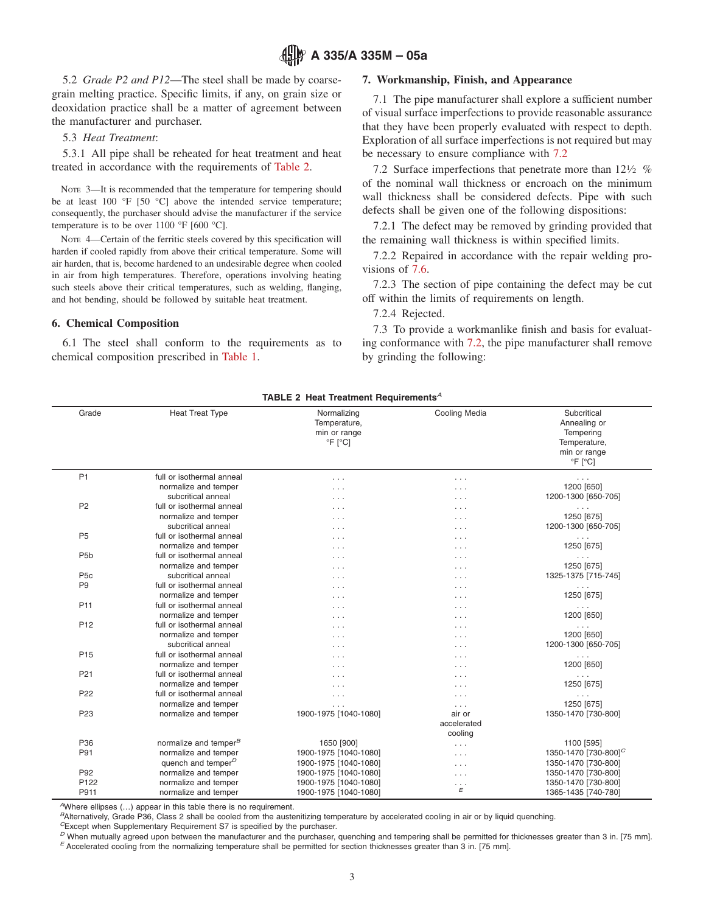# **A 335/A 335M – 05a**

5.2 *Grade P2 and P12*—The steel shall be made by coarsegrain melting practice. Specific limits, if any, on grain size or deoxidation practice shall be a matter of agreement between the manufacturer and purchaser.

5.3 *Heat Treatment*:

5.3.1 All pipe shall be reheated for heat treatment and heat treated in accordance with the requirements of [Table 2.](#page-2-1)

NOTE 3—It is recommended that the temperature for tempering should be at least 100 °F [50 °C] above the intended service temperature; consequently, the purchaser should advise the manufacturer if the service temperature is to be over  $1100 \text{ °F}$  [600  $\text{ °C}$ ].

NOTE 4—Certain of the ferritic steels covered by this specification will harden if cooled rapidly from above their critical temperature. Some will air harden, that is, become hardened to an undesirable degree when cooled in air from high temperatures. Therefore, operations involving heating such steels above their critical temperatures, such as welding, flanging, and hot bending, should be followed by suitable heat treatment.

# **6. Chemical Composition**

6.1 The steel shall conform to the requirements as to chemical composition prescribed in [Table 1.](#page-1-0)

# <span id="page-2-3"></span>**7. Workmanship, Finish, and Appearance**

<span id="page-2-0"></span>7.1 The pipe manufacturer shall explore a sufficient number of visual surface imperfections to provide reasonable assurance that they have been properly evaluated with respect to depth. Exploration of all surface imperfections is not required but may be necessary to ensure compliance with [7.2](#page-2-2)

<span id="page-2-2"></span>7.2 Surface imperfections that penetrate more than  $12\frac{1}{2}$  % of the nominal wall thickness or encroach on the minimum wall thickness shall be considered defects. Pipe with such defects shall be given one of the following dispositions:

<span id="page-2-5"></span>7.2.1 The defect may be removed by grinding provided that the remaining wall thickness is within specified limits.

<span id="page-2-6"></span>7.2.2 Repaired in accordance with the repair welding provisions of [7.6.](#page-3-3)

7.2.3 The section of pipe containing the defect may be cut off within the limits of requirements on length.

<span id="page-2-4"></span><span id="page-2-1"></span>7.2.4 Rejected.

7.3 To provide a workmanlike finish and basis for evaluating conformance with [7.2,](#page-2-2) the pipe manufacturer shall remove by grinding the following:

| TABLE 2 Heat Treatment Requirements <sup>A</sup> |                                   |                                                                         |                           |                                                                                                      |  |  |  |
|--------------------------------------------------|-----------------------------------|-------------------------------------------------------------------------|---------------------------|------------------------------------------------------------------------------------------------------|--|--|--|
| Grade                                            | <b>Heat Treat Type</b>            | Normalizing<br>Temperature,<br>min or range<br>$\degree$ F $\degree$ C] | Cooling Media             | Subcritical<br>Annealing or<br>Tempering<br>Temperature,<br>min or range<br>$\degree$ F $\degree$ C] |  |  |  |
| P <sub>1</sub>                                   | full or isothermal anneal         | $\cdots$                                                                | $\cdots$                  | $\sim$ $\sim$ $\sim$                                                                                 |  |  |  |
|                                                  | normalize and temper              | $\cdots$                                                                | $\cdots$                  | 1200 [650]                                                                                           |  |  |  |
|                                                  | subcritical anneal                | $\cdots$                                                                | $\cdots$                  | 1200-1300 [650-705]                                                                                  |  |  |  |
| P <sub>2</sub>                                   | full or isothermal anneal         | $\cdots$                                                                | $\cdots$                  |                                                                                                      |  |  |  |
|                                                  | normalize and temper              | $\sim$ $\sim$ $\sim$                                                    | $\cdots$                  | 1250 [675]                                                                                           |  |  |  |
|                                                  | subcritical anneal                | $\cdots$                                                                | $\cdots$                  | 1200-1300 [650-705]                                                                                  |  |  |  |
| P <sub>5</sub>                                   | full or isothermal anneal         | .                                                                       | $\cdots$                  | $\sim$ $\sim$ $\sim$                                                                                 |  |  |  |
|                                                  | normalize and temper              | $\cdots$                                                                | $\cdots$                  | 1250 [675]                                                                                           |  |  |  |
| P <sub>5</sub> b                                 | full or isothermal anneal         | .                                                                       | $\cdots$                  | $\cdots$                                                                                             |  |  |  |
|                                                  | normalize and temper              | $\cdots$                                                                | $\cdots$                  | 1250 [675]                                                                                           |  |  |  |
| P <sub>5</sub> c                                 | subcritical anneal                | $\sim$ $\sim$ $\sim$                                                    | $\cdot$ $\cdot$ $\cdot$   | 1325-1375 [715-745]                                                                                  |  |  |  |
| P <sub>9</sub>                                   | full or isothermal anneal         | $\cdots$                                                                | $\cdots$                  | $\sim$ $\sim$ $\sim$                                                                                 |  |  |  |
|                                                  | normalize and temper              | $\cdots$                                                                | $\cdots$                  | 1250 [675]                                                                                           |  |  |  |
| P <sub>11</sub>                                  | full or isothermal anneal         | $\cdots$                                                                | $\cdots$                  | $\sim$ $\sim$ $\sim$                                                                                 |  |  |  |
|                                                  | normalize and temper              | $\cdots$                                                                | $\cdots$                  | 1200 [650]                                                                                           |  |  |  |
| P <sub>12</sub>                                  | full or isothermal anneal         | $\cdots$                                                                | $\cdots$                  | $\sim$ $\sim$ $\sim$                                                                                 |  |  |  |
|                                                  | normalize and temper              | $\cdots$                                                                | $\cdots$                  | 1200 [650]                                                                                           |  |  |  |
|                                                  | subcritical anneal                | $\cdots$                                                                | $\cdots$                  | 1200-1300 [650-705]                                                                                  |  |  |  |
| P <sub>15</sub>                                  | full or isothermal anneal         | $\sim$ $\sim$ $\sim$                                                    | $\cdot$ $\cdot$ $\cdot$   | $\sim$ $\sim$ $\sim$                                                                                 |  |  |  |
|                                                  | normalize and temper              | .                                                                       | $\cdots$                  | 1200 [650]                                                                                           |  |  |  |
| P <sub>21</sub>                                  | full or isothermal anneal         | .                                                                       | $\cdots$                  | $\cdots$                                                                                             |  |  |  |
|                                                  | normalize and temper              | $\cdots$                                                                | $\cdots$                  | 1250 [675]                                                                                           |  |  |  |
| P <sub>22</sub>                                  | full or isothermal anneal         | $\sim$ $\sim$ $\sim$                                                    | $\cdots$                  | $\cdots$                                                                                             |  |  |  |
|                                                  | normalize and temper              | $\sim$ $\sim$ $\sim$                                                    | $\cdots$                  | 1250 [675]                                                                                           |  |  |  |
| P <sub>23</sub>                                  | normalize and temper              | 1900-1975 [1040-1080]                                                   | air or                    | 1350-1470 [730-800]                                                                                  |  |  |  |
|                                                  |                                   |                                                                         | accelerated               |                                                                                                      |  |  |  |
|                                                  |                                   |                                                                         | cooling                   |                                                                                                      |  |  |  |
| P36                                              | normalize and temper <sup>B</sup> | 1650 [900]                                                              | $\cdots$                  | 1100 [595]                                                                                           |  |  |  |
| P91                                              | normalize and temper              | 1900-1975 [1040-1080]                                                   | $\cdots$                  | 1350-1470 [730-800] <sup>C</sup>                                                                     |  |  |  |
|                                                  | quench and temper $P$             | 1900-1975 [1040-1080]                                                   | $\cdots$                  | 1350-1470 [730-800]                                                                                  |  |  |  |
| P92                                              | normalize and temper              | 1900-1975 [1040-1080]                                                   | $\cdots$                  | 1350-1470 [730-800]                                                                                  |  |  |  |
| P <sub>122</sub>                                 | normalize and temper              | 1900-1975 [1040-1080]                                                   | $\cdots$                  | 1350-1470 [730-800]                                                                                  |  |  |  |
| P911                                             | normalize and temper              | 1900-1975 [1040-1080]                                                   | $\boldsymbol{\mathsf{E}}$ | 1365-1435 [740-780]                                                                                  |  |  |  |

*<sup>A</sup>*Where ellipses (…) appear in this table there is no requirement.

*<sup>B</sup>*Alternatively, Grade P36, Class 2 shall be cooled from the austenitizing temperature by accelerated cooling in air or by liquid quenching.

*<sup>C</sup>*Except when Supplementary Requirement S7 is specified by the purchaser.

<sup>D</sup> When mutually agreed upon between the manufacturer and the purchaser, quenching and tempering shall be permitted for thicknesses greater than 3 in. [75 mm].<br><sup>E</sup> Accelerated cooling from the normalizing temperature sha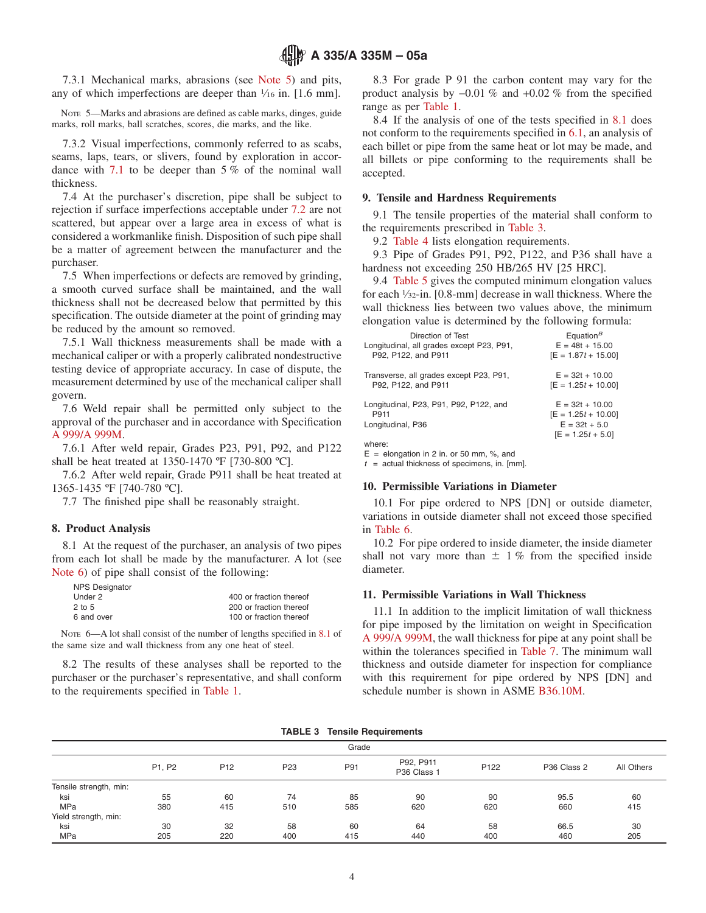# **A 335/A 335M – 05a**

7.3.1 Mechanical marks, abrasions (see [Note 5\)](#page-3-4) and pits, any of which imperfections are deeper than  $\frac{1}{16}$  in. [1.6 mm].

NOTE 5—Marks and abrasions are defined as cable marks, dinges, guide marks, roll marks, ball scratches, scores, die marks, and the like.

7.3.2 Visual imperfections, commonly referred to as scabs, seams, laps, tears, or slivers, found by exploration in accordance with [7.1](#page-2-3) to be deeper than 5 % of the nominal wall thickness.

7.4 At the purchaser's discretion, pipe shall be subject to rejection if surface imperfections acceptable under [7.2](#page-2-2) are not scattered, but appear over a large area in excess of what is considered a workmanlike finish. Disposition of such pipe shall be a matter of agreement between the manufacturer and the purchaser.

7.5 When imperfections or defects are removed by grinding, a smooth curved surface shall be maintained, and the wall thickness shall not be decreased below that permitted by this specification. The outside diameter at the point of grinding may be reduced by the amount so removed.

7.5.1 Wall thickness measurements shall be made with a mechanical caliper or with a properly calibrated nondestructive testing device of appropriate accuracy. In case of dispute, the measurement determined by use of the mechanical caliper shall govern.

7.6 Weld repair shall be permitted only subject to the approval of the purchaser and in accordance with Specification [A 999/A 999M.](#page-3-5)

7.6.1 After weld repair, Grades P23, P91, P92, and P122 shall be heat treated at 1350-1470 ºF [730-800 ºC].

7.6.2 After weld repair, Grade P911 shall be heat treated at 1365-1435 ºF [740-780 ºC].

7.7 The finished pipe shall be reasonably straight.

#### **8. Product Analysis**

8.1 At the request of the purchaser, an analysis of two pipes from each lot shall be made by the manufacturer. A lot (see [Note 6\)](#page-3-6) of pipe shall consist of the following:

| <b>NPS Designator</b> |                         |
|-----------------------|-------------------------|
| Under 2               | 400 or fraction thereof |
| $2$ to 5              | 200 or fraction thereof |
| 6 and over            | 100 or fraction thereof |

NOTE 6—A lot shall consist of the number of lengths specified in [8.1](#page-3-7) of the same size and wall thickness from any one heat of steel.

8.2 The results of these analyses shall be reported to the purchaser or the purchaser's representative, and shall conform to the requirements specified in [Table 1.](#page-1-0)

<span id="page-3-4"></span>8.3 For grade P 91 the carbon content may vary for the product analysis by −0.01 % and +0.02 % from the specified range as per [Table 1.](#page-1-0)

8.4 If the analysis of one of the tests specified in [8.1](#page-3-7) does not conform to the requirements specified in [6.1,](#page-2-4) an analysis of each billet or pipe from the same heat or lot may be made, and all billets or pipe conforming to the requirements shall be accepted.

# **9. Tensile and Hardness Requirements**

9.1 The tensile properties of the material shall conform to the requirements prescribed in [Table 3.](#page-3-8)

9.2 [Table 4](#page-4-4) lists elongation requirements.

<span id="page-3-9"></span>9.3 Pipe of Grades P91, P92, P122, and P36 shall have a hardness not exceeding 250 HB/265 HV [25 HRC].

9.4 [Table 5](#page-5-0) gives the computed minimum elongation values for each 1⁄32-in. [0.8-mm] decrease in wall thickness. Where the wall thickness lies between two values above, the minimum elongation value is determined by the following formula:

<span id="page-3-3"></span>

| Direction of Test                          | Equation <sup>B</sup> |
|--------------------------------------------|-----------------------|
| Longitudinal, all grades except P23, P91,  | $E = 48t + 15.00$     |
| P92. P122. and P911                        | $[E = 1.87t + 15.00]$ |
| Transverse, all grades except P23, P91,    | $E = 32t + 10.00$     |
| P92, P122, and P911                        | $[E = 1.25t + 10.00]$ |
|                                            |                       |
| Longitudinal, P23, P91, P92, P122, and     | $E = 32t + 10.00$     |
| P911                                       | $[E = 1.25t + 10.00]$ |
| Longitudinal, P36                          | $E = 32t + 5.0$       |
|                                            | $[E = 1.25t + 5.0]$   |
| where:                                     |                       |
| $F =$ elongation in 2 in or 50 mm $\%$ and |                       |

<span id="page-3-11"></span><span id="page-3-10"></span><span id="page-3-2"></span> $t =$  actual thickness of specimens, in. [mm].

# <span id="page-3-12"></span>**10. Permissible Variations in Diameter**

<span id="page-3-1"></span>10.1 For pipe ordered to NPS [DN] or outside diameter, variations in outside diameter shall not exceed those specified in [Table 6.](#page-5-1)

<span id="page-3-7"></span>10.2 For pipe ordered to inside diameter, the inside diameter shall not vary more than  $\pm$  1% from the specified inside diameter.

#### <span id="page-3-13"></span>**11. Permissible Variations in Wall Thickness**

<span id="page-3-8"></span><span id="page-3-6"></span><span id="page-3-5"></span><span id="page-3-0"></span>11.1 In addition to the implicit limitation of wall thickness for pipe imposed by the limitation on weight in Specification [A 999/A 999M,](#page-6-0) the wall thickness for pipe at any point shall be within the tolerances specified in [Table 7.](#page-5-2) The minimum wall thickness and outside diameter for inspection for compliance with this requirement for pipe ordered by NPS [DN] and schedule number is shown in ASME [B36.10M.](#page-7-1)

|  |  |  | <b>TABLE 3 Tensile Requirements</b> |
|--|--|--|-------------------------------------|
|--|--|--|-------------------------------------|

|                        | Grade  |                 |                 |     |                                      |                  |                                    |            |  |
|------------------------|--------|-----------------|-----------------|-----|--------------------------------------|------------------|------------------------------------|------------|--|
|                        | P1, P2 | P <sub>12</sub> | P <sub>23</sub> | P91 | P92, P911<br>P <sub>36</sub> Class 1 | P <sub>122</sub> | P <sub>36</sub> Class <sub>2</sub> | All Others |  |
| Tensile strength, min: |        |                 |                 |     |                                      |                  |                                    |            |  |
| ksi                    | 55     | 60              | 74              | 85  | 90                                   | 90               | 95.5                               | 60         |  |
| <b>MPa</b>             | 380    | 415             | 510             | 585 | 620                                  | 620              | 660                                | 415        |  |
| Yield strength, min:   |        |                 |                 |     |                                      |                  |                                    |            |  |
| ksi                    | 30     | 32              | 58              | 60  | 64                                   | 58               | 66.5                               | 30         |  |
| <b>MPa</b>             | 205    | 220             | 400             | 415 | 440                                  | 400              | 460                                | 205        |  |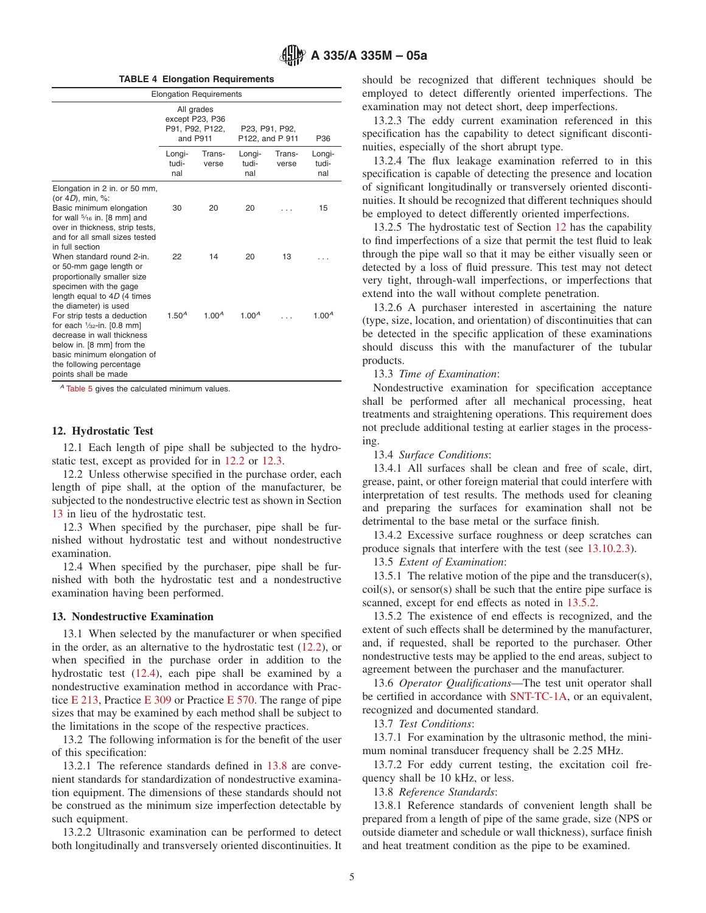**TABLE 4 Elongation Requirements**

|                                                                                                                                                                                                              | <b>Elongation Requirements</b> |                                                  |                        |                 |                        |  |
|--------------------------------------------------------------------------------------------------------------------------------------------------------------------------------------------------------------|--------------------------------|--------------------------------------------------|------------------------|-----------------|------------------------|--|
|                                                                                                                                                                                                              | and P911                       | All grades<br>except P23, P36<br>P91, P92, P122, | P122, and P 911        | P23, P91, P92,  | P36                    |  |
|                                                                                                                                                                                                              | Longi-<br>tudi-<br>nal         | Trans-<br>verse                                  | Longi-<br>tudi-<br>nal | Trans-<br>verse | Longi-<br>tudi-<br>nal |  |
| Elongation in 2 in. or 50 mm,<br>(or 4D), min, %:                                                                                                                                                            |                                |                                                  |                        |                 |                        |  |
| Basic minimum elongation<br>for wall $\frac{5}{16}$ in. [8 mm] and<br>over in thickness, strip tests,<br>and for all small sizes tested<br>in full section                                                   | 30                             | 20                                               | 20                     |                 | 15                     |  |
| When standard round 2-in<br>or 50-mm gage length or<br>proportionally smaller size<br>specimen with the gage<br>length equal to $4D$ (4 times<br>the diameter) is used                                       | 22                             | 14                                               | 20                     | 13              |                        |  |
| For strip tests a deduction<br>for each $1/32$ -in. $[0.8$ mm]<br>decrease in wall thickness<br>below in. [8 mm] from the<br>basic minimum elongation of<br>the following percentage<br>points shall be made | 1.50 <sup>A</sup>              | 1.00 <sup>A</sup>                                | 1.00 <sup>A</sup>      |                 | 1.00 <sup>A</sup>      |  |

*<sup>A</sup>* [Table 5](#page-5-0) gives the calculated minimum values.

#### **12. Hydrostatic Test**

12.1 Each length of pipe shall be subjected to the hydrostatic test, except as provided for in [12.2](#page-4-5) or [12.3.](#page-4-6)

12.2 Unless otherwise specified in the purchase order, each length of pipe shall, at the option of the manufacturer, be subjected to the nondestructive electric test as shown in Section [13](#page-4-3) in lieu of the hydrostatic test.

12.3 When specified by the purchaser, pipe shall be furnished without hydrostatic test and without nondestructive examination.

12.4 When specified by the purchaser, pipe shall be furnished with both the hydrostatic test and a nondestructive examination having been performed.

#### **13. Nondestructive Examination**

13.1 When selected by the manufacturer or when specified in the order, as an alternative to the hydrostatic test [\(12.2\)](#page-4-5), or when specified in the purchase order in addition to the hydrostatic test [\(12.4\)](#page-4-7), each pipe shall be examined by a nondestructive examination method in accordance with Practice [E 213,](#page-5-3) Practice [E 309](#page-0-4) or Practice [E 570.](#page-0-5) The range of pipe sizes that may be examined by each method shall be subject to the limitations in the scope of the respective practices.

13.2 The following information is for the benefit of the user of this specification:

13.2.1 The reference standards defined in [13.8](#page-4-8) are convenient standards for standardization of nondestructive examination equipment. The dimensions of these standards should not be construed as the minimum size imperfection detectable by such equipment.

13.2.2 Ultrasonic examination can be performed to detect both longitudinally and transversely oriented discontinuities. It <span id="page-4-4"></span>should be recognized that different techniques should be employed to detect differently oriented imperfections. The examination may not detect short, deep imperfections.

13.2.3 The eddy current examination referenced in this specification has the capability to detect significant discontinuities, especially of the short abrupt type.

13.2.4 The flux leakage examination referred to in this specification is capable of detecting the presence and location of significant longitudinally or transversely oriented discontinuities. It should be recognized that different techniques should be employed to detect differently oriented imperfections.

13.2.5 The hydrostatic test of Section [12](#page-4-2) has the capability to find imperfections of a size that permit the test fluid to leak through the pipe wall so that it may be either visually seen or detected by a loss of fluid pressure. This test may not detect very tight, through-wall imperfections, or imperfections that extend into the wall without complete penetration.

13.2.6 A purchaser interested in ascertaining the nature (type, size, location, and orientation) of discontinuities that can be detected in the specific application of these examinations should discuss this with the manufacturer of the tubular products.

13.3 *Time of Examination*:

Nondestructive examination for specification acceptance shall be performed after all mechanical processing, heat treatments and straightening operations. This requirement does not preclude additional testing at earlier stages in the processing.

<span id="page-4-5"></span><span id="page-4-2"></span>13.4 *Surface Conditions*:

13.4.1 All surfaces shall be clean and free of scale, dirt, grease, paint, or other foreign material that could interfere with interpretation of test results. The methods used for cleaning and preparing the surfaces for examination shall not be detrimental to the base metal or the surface finish.

13.4.2 Excessive surface roughness or deep scratches can produce signals that interfere with the test (see [13.10.2.3\)](#page-6-1).

<span id="page-4-7"></span><span id="page-4-6"></span><span id="page-4-3"></span>13.5 *Extent of Examination*:

13.5.1 The relative motion of the pipe and the transducer(s), coil(s), or sensor(s) shall be such that the entire pipe surface is scanned, except for end effects as noted in [13.5.2.](#page-4-9)

<span id="page-4-9"></span>13.5.2 The existence of end effects is recognized, and the extent of such effects shall be determined by the manufacturer, and, if requested, shall be reported to the purchaser. Other nondestructive tests may be applied to the end areas, subject to agreement between the purchaser and the manufacturer.

<span id="page-4-1"></span>13.6 *Operator Qualifications*—The test unit operator shall be certified in accordance with [SNT-TC-1A,](#page-0-6) or an equivalent, recognized and documented standard.

<span id="page-4-10"></span><span id="page-4-0"></span>13.7 *Test Conditions*:

13.7.1 For examination by the ultrasonic method, the minimum nominal transducer frequency shall be 2.25 MHz.

<span id="page-4-8"></span>13.7.2 For eddy current testing, the excitation coil frequency shall be 10 kHz, or less.

13.8 *Reference Standards*:

13.8.1 Reference standards of convenient length shall be prepared from a length of pipe of the same grade, size (NPS or outside diameter and schedule or wall thickness), surface finish and heat treatment condition as the pipe to be examined.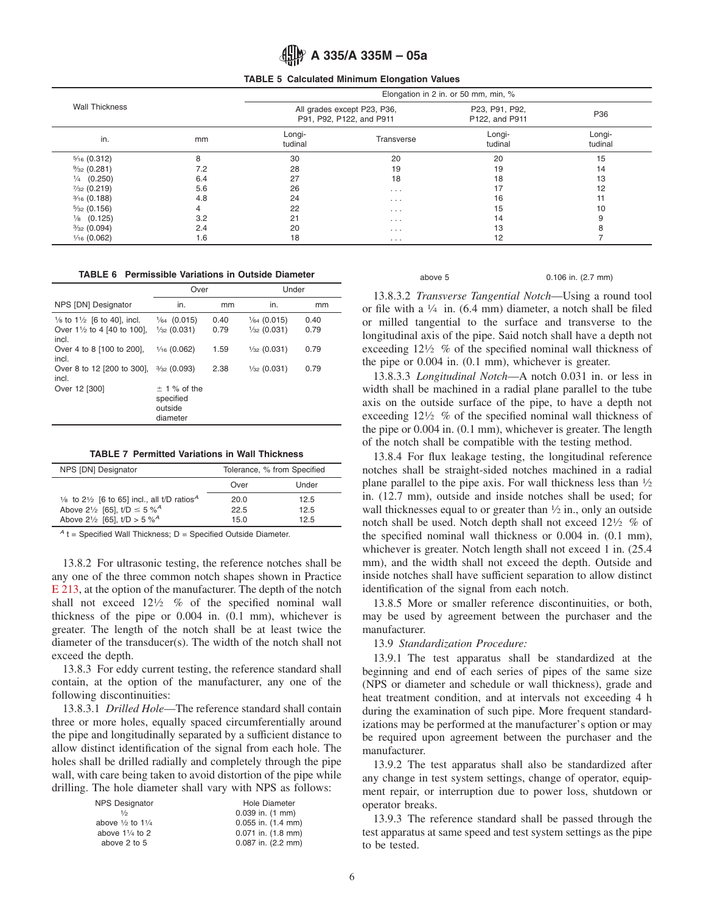

#### **TABLE 5 Calculated Minimum Elongation Values**

|                        |     |                                                         |            | Elongation in 2 in. or 50 mm, min, % |                   |
|------------------------|-----|---------------------------------------------------------|------------|--------------------------------------|-------------------|
| <b>Wall Thickness</b>  |     | All grades except P23, P36,<br>P91, P92, P122, and P911 |            | P23, P91, P92,<br>P122, and P911     | P36               |
| in.                    | mm  | Longi-<br>tudinal                                       | Transverse | Longi-<br>tudinal                    | Longi-<br>tudinal |
| $\frac{5}{16}$ (0.312) | 8   | 30                                                      | 20         | 20                                   | 15                |
| $\frac{9}{32}$ (0.281) | 7.2 | 28                                                      | 19         | 19                                   | 14                |
| $\frac{1}{4}$ (0.250)  | 6.4 | 27                                                      | 18         | 18                                   | 13                |
| $\frac{7}{32}$ (0.219) | 5.6 | 26                                                      | $\cdots$   | 17                                   | 12                |
| $\frac{3}{16}$ (0.188) | 4.8 | 24                                                      | $\cdots$   | 16                                   | 11                |
| $\frac{5}{32}$ (0.156) | 4   | 22                                                      | $\cdots$   | 15                                   | 10                |
| $\frac{1}{8}$ (0.125)  | 3.2 | 21                                                      | $\cdots$   | 14                                   | 9                 |
| $\frac{3}{32}$ (0.094) | 2.4 | 20                                                      | $\cdots$   | 13                                   |                   |
| $\frac{1}{16}$ (0.062) | 1.6 | 18                                                      | $\cdots$   | 12                                   |                   |

| <b>TABLE 6</b> Permissible Variations in Outside Diameter |  |  |  |  |  |
|-----------------------------------------------------------|--|--|--|--|--|
|-----------------------------------------------------------|--|--|--|--|--|

|                                                                                                     | Over                                               |              | Under                                            |              |
|-----------------------------------------------------------------------------------------------------|----------------------------------------------------|--------------|--------------------------------------------------|--------------|
| NPS [DN] Designator                                                                                 | in.                                                | mm           | in.                                              | mm           |
| $\frac{1}{8}$ to 1 $\frac{1}{2}$ [6 to 40], incl.<br>Over $1\frac{1}{2}$ to 4 [40 to 100],<br>incl. | $\frac{1}{64}$ (0.015)<br>$\frac{1}{32}$ (0.031)   | 0.40<br>0.79 | $\frac{1}{64}$ (0.015)<br>$\frac{1}{32}$ (0.031) | 0.40<br>0.79 |
| Over 4 to 8 [100 to 200].<br>incl.                                                                  | $\frac{1}{16}$ (0.062)                             | 1.59         | $\frac{1}{32}$ (0.031)                           | 0.79         |
| Over 8 to 12 [200 to 300],<br>incl.                                                                 | $\frac{3}{32}$ (0.093)                             | 2.38         | $\frac{1}{32}$ (0.031)                           | 0.79         |
| Over 12 [300]                                                                                       | $± 1$ % of the<br>specified<br>outside<br>diameter |              |                                                  |              |

|  |  |  |  |  | <b>TABLE 7 Permitted Variations in Wall Thickness</b> |
|--|--|--|--|--|-------------------------------------------------------|
|--|--|--|--|--|-------------------------------------------------------|

| NPS [DN] Designator                                                           | Tolerance, % from Specified |       |  |
|-------------------------------------------------------------------------------|-----------------------------|-------|--|
|                                                                               | Over                        | Under |  |
| $\frac{1}{8}$ to 2 $\frac{1}{2}$ [6 to 65] incl., all t/D ratios <sup>A</sup> | 20.0                        | 12.5  |  |
| Above 2 <sup>1</sup> / <sub>2</sub> [65], $t/D \le 5 \%^A$                    | 22.5                        | 12.5  |  |
| Above 21/2 [65], $t/D > 5 \%^{A}$                                             | 15 $0$                      | 125   |  |

 $A$ <sub>t</sub> = Specified Wall Thickness; D = Specified Outside Diameter.

13.8.2 For ultrasonic testing, the reference notches shall be any one of the three common notch shapes shown in Practice [E 213,](#page-0-7) at the option of the manufacturer. The depth of the notch shall not exceed  $12\frac{1}{2}$  % of the specified nominal wall thickness of the pipe or 0.004 in. (0.1 mm), whichever is greater. The length of the notch shall be at least twice the diameter of the transducer(s). The width of the notch shall not exceed the depth.

13.8.3 For eddy current testing, the reference standard shall contain, at the option of the manufacturer, any one of the following discontinuities:

13.8.3.1 *Drilled Hole*—The reference standard shall contain three or more holes, equally spaced circumferentially around the pipe and longitudinally separated by a sufficient distance to allow distinct identification of the signal from each hole. The holes shall be drilled radially and completely through the pipe wall, with care being taken to avoid distortion of the pipe while drilling. The hole diameter shall vary with NPS as follows:

| <b>NPS Designator</b>                  | Hole Diameter                |
|----------------------------------------|------------------------------|
| 1/2                                    | $0.039$ in. $(1 \text{ mm})$ |
| above $\frac{1}{2}$ to 1 $\frac{1}{4}$ | $0.055$ in. $(1.4$ mm)       |
| above $1\frac{1}{4}$ to 2              | $0.071$ in. $(1.8$ mm)       |
| above 2 to 5                           | $0.087$ in. $(2.2$ mm)       |
|                                        |                              |

<span id="page-5-2"></span><span id="page-5-1"></span><span id="page-5-0"></span>

| $\cdots$<br>۱C |  |
|----------------|--|
| v              |  |

above 5 0.106 in. (2.7 mm)

13.8.3.2 *Transverse Tangential Notch*—Using a round tool or file with a  $\frac{1}{4}$  in. (6.4 mm) diameter, a notch shall be filed or milled tangential to the surface and transverse to the longitudinal axis of the pipe. Said notch shall have a depth not exceeding  $12\frac{1}{2}$  % of the specified nominal wall thickness of the pipe or 0.004 in. (0.1 mm), whichever is greater.

13.8.3.3 *Longitudinal Notch*—A notch 0.031 in. or less in width shall be machined in a radial plane parallel to the tube axis on the outside surface of the pipe, to have a depth not exceeding  $12\frac{1}{2}$  % of the specified nominal wall thickness of the pipe or 0.004 in. (0.1 mm), whichever is greater. The length of the notch shall be compatible with the testing method.

13.8.4 For flux leakage testing, the longitudinal reference notches shall be straight-sided notches machined in a radial plane parallel to the pipe axis. For wall thickness less than  $\frac{1}{2}$ in. (12.7 mm), outside and inside notches shall be used; for wall thicknesses equal to or greater than  $\frac{1}{2}$  in., only an outside notch shall be used. Notch depth shall not exceed 121⁄2 % of the specified nominal wall thickness or 0.004 in. (0.1 mm), whichever is greater. Notch length shall not exceed 1 in.  $(25.4)$ mm), and the width shall not exceed the depth. Outside and inside notches shall have sufficient separation to allow distinct identification of the signal from each notch.

13.8.5 More or smaller reference discontinuities, or both, may be used by agreement between the purchaser and the manufacturer.

<span id="page-5-3"></span>13.9 *Standardization Procedure:*

13.9.1 The test apparatus shall be standardized at the beginning and end of each series of pipes of the same size (NPS or diameter and schedule or wall thickness), grade and heat treatment condition, and at intervals not exceeding 4 h during the examination of such pipe. More frequent standardizations may be performed at the manufacturer's option or may be required upon agreement between the purchaser and the manufacturer.

13.9.2 The test apparatus shall also be standardized after any change in test system settings, change of operator, equipment repair, or interruption due to power loss, shutdown or operator breaks.

13.9.3 The reference standard shall be passed through the test apparatus at same speed and test system settings as the pipe to be tested.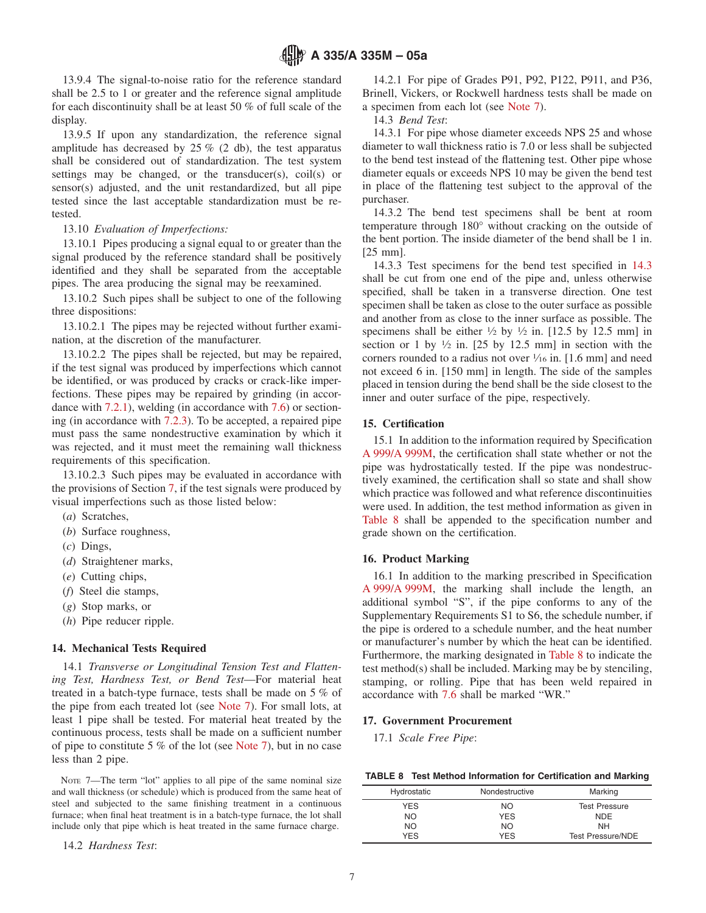13.9.4 The signal-to-noise ratio for the reference standard shall be 2.5 to 1 or greater and the reference signal amplitude for each discontinuity shall be at least 50 % of full scale of the display.

13.9.5 If upon any standardization, the reference signal amplitude has decreased by  $25\%$  (2 db), the test apparatus shall be considered out of standardization. The test system settings may be changed, or the transducer(s), coil(s) or sensor(s) adjusted, and the unit restandardized, but all pipe tested since the last acceptable standardization must be retested.

# 13.10 *Evaluation of Imperfections:*

13.10.1 Pipes producing a signal equal to or greater than the signal produced by the reference standard shall be positively identified and they shall be separated from the acceptable pipes. The area producing the signal may be reexamined.

13.10.2 Such pipes shall be subject to one of the following three dispositions:

13.10.2.1 The pipes may be rejected without further examination, at the discretion of the manufacturer.

13.10.2.2 The pipes shall be rejected, but may be repaired, if the test signal was produced by imperfections which cannot be identified, or was produced by cracks or crack-like imperfections. These pipes may be repaired by grinding (in accordance with [7.2.1\)](#page-2-5), welding (in accordance with [7.6\)](#page-3-3) or sectioning (in accordance with [7.2.3\)](#page-2-6). To be accepted, a repaired pipe must pass the same nondestructive examination by which it was rejected, and it must meet the remaining wall thickness requirements of this specification.

13.10.2.3 Such pipes may be evaluated in accordance with the provisions of Section 7, if the test signals were produced by visual imperfections such as those listed below:

- (*a*) Scratches,
- (*b*) Surface roughness,
- (*c*) Dings,
- (*d*) Straightener marks,
- (*e*) Cutting chips,
- (*f*) Steel die stamps,
- (*g*) Stop marks, or
- (*h*) Pipe reducer ripple.

## **14. Mechanical Tests Required**

14.1 *Transverse or Longitudinal Tension Test and Flattening Test, Hardness Test, or Bend Test*—For material heat treated in a batch-type furnace, tests shall be made on 5 % of the pipe from each treated lot (see [Note 7\)](#page-6-2). For small lots, at least 1 pipe shall be tested. For material heat treated by the continuous process, tests shall be made on a sufficient number of pipe to constitute 5 % of the lot (see [Note 7\)](#page-6-2), but in no case less than 2 pipe.

NOTE 7—The term "lot" applies to all pipe of the same nominal size and wall thickness (or schedule) which is produced from the same heat of steel and subjected to the same finishing treatment in a continuous furnace; when final heat treatment is in a batch-type furnace, the lot shall include only that pipe which is heat treated in the same furnace charge.

14.2 *Hardness Test*:

14.2.1 For pipe of Grades P91, P92, P122, P911, and P36, Brinell, Vickers, or Rockwell hardness tests shall be made on a specimen from each lot (see [Note 7\)](#page-6-2).

14.3 *Bend Test*:

<span id="page-6-3"></span>14.3.1 For pipe whose diameter exceeds NPS 25 and whose diameter to wall thickness ratio is 7.0 or less shall be subjected to the bend test instead of the flattening test. Other pipe whose diameter equals or exceeds NPS 10 may be given the bend test in place of the flattening test subject to the approval of the purchaser.

14.3.2 The bend test specimens shall be bent at room temperature through 180° without cracking on the outside of the bent portion. The inside diameter of the bend shall be 1 in. [25 mm].

14.3.3 Test specimens for the bend test specified in [14.3](#page-6-3) shall be cut from one end of the pipe and, unless otherwise specified, shall be taken in a transverse direction. One test specimen shall be taken as close to the outer surface as possible and another from as close to the inner surface as possible. The specimens shall be either  $\frac{1}{2}$  by  $\frac{1}{2}$  in. [12.5 by 12.5 mm] in section or 1 by  $\frac{1}{2}$  in. [25 by 12.5 mm] in section with the corners rounded to a radius not over  $\frac{1}{16}$  in. [1.6 mm] and need not exceed 6 in. [150 mm] in length. The side of the samples placed in tension during the bend shall be the side closest to the inner and outer surface of the pipe, respectively.

# **15. Certification**

<span id="page-6-1"></span><span id="page-6-0"></span>15.1 In addition to the information required by Specification [A 999/A 999M,](#page-6-4) the certification shall state whether or not the pipe was hydrostatically tested. If the pipe was nondestructively examined, the certification shall so state and shall show which practice was followed and what reference discontinuities were used. In addition, the test method information as given in [Table 8](#page-6-5) shall be appended to the specification number and grade shown on the certification.

## **16. Product Marking**

<span id="page-6-4"></span>16.1 In addition to the marking prescribed in Specification [A 999/A 999M,](#page-7-2) the marking shall include the length, an additional symbol "S", if the pipe conforms to any of the Supplementary Requirements S1 to S6, the schedule number, if the pipe is ordered to a schedule number, and the heat number or manufacturer's number by which the heat can be identified. Furthermore, the marking designated in [Table 8](#page-6-5) to indicate the test method(s) shall be included. Marking may be by stenciling, stamping, or rolling. Pipe that has been weld repaired in accordance with [7.6](#page-3-3) shall be marked "WR."

# **17. Government Procurement**

<span id="page-6-2"></span>17.1 *Scale Free Pipe*:

<span id="page-6-5"></span>

| TABLE 8 Test Method Information for Certification and Marking |  |
|---------------------------------------------------------------|--|
|---------------------------------------------------------------|--|

| Hydrostatic | Nondestructive | Marking                  |
|-------------|----------------|--------------------------|
|             |                |                          |
| <b>YES</b>  | NO.            | <b>Test Pressure</b>     |
| <b>NO</b>   | <b>YES</b>     | <b>NDE</b>               |
| <b>NO</b>   | <b>NO</b>      | <b>NH</b>                |
| <b>YFS</b>  | <b>YES</b>     | <b>Test Pressure/NDE</b> |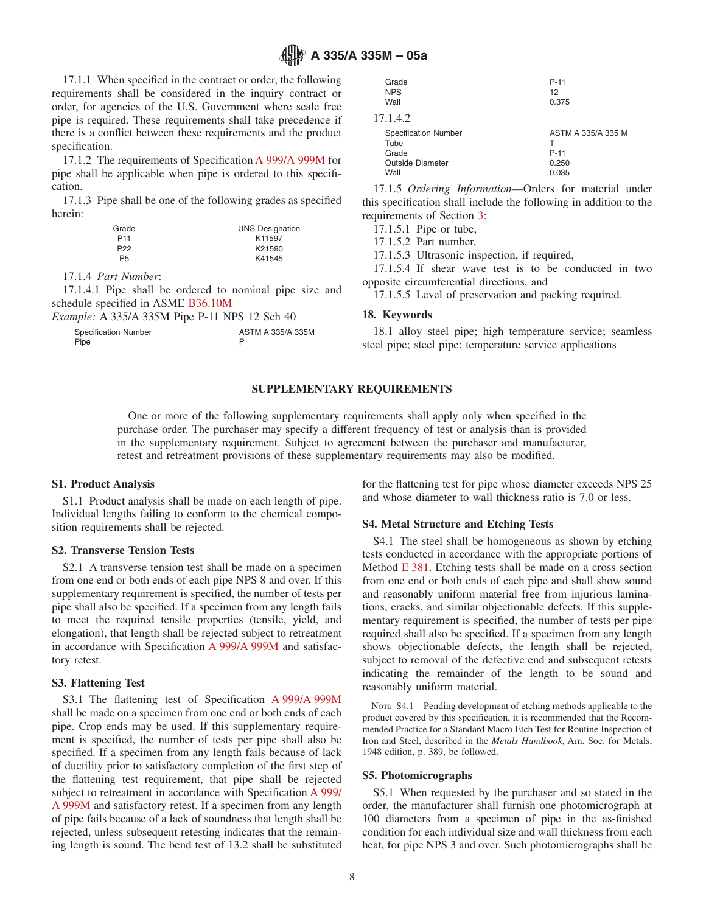# **A 335/A 335M – 05a**

17.1.1 When specified in the contract or order, the following requirements shall be considered in the inquiry contract or order, for agencies of the U.S. Government where scale free pipe is required. These requirements shall take precedence if there is a conflict between these requirements and the product specification.

17.1.2 The requirements of Specification [A 999/A 999M](#page-7-3) for pipe shall be applicable when pipe is ordered to this specification.

17.1.3 Pipe shall be one of the following grades as specified herein:

| Grade           | <b>UNS Designation</b> |
|-----------------|------------------------|
| P <sub>11</sub> | K11597                 |
| P22             | K21590                 |
| <b>P5</b>       | K41545                 |

17.1.4 *Part Number*:

17.1.4.1 Pipe shall be ordered to nominal pipe size and schedule specified in ASME [B36.10M](#page-8-0)

| <i>Example:</i> A 335/A 335M Pipe P-11 NPS 12 Sch 40 |                   |
|------------------------------------------------------|-------------------|
| <b>Specification Number</b>                          | ASTM A 335/A 335M |
| Pipe                                                 |                   |

<span id="page-7-2"></span>

| Grade                       | $P-11$             |
|-----------------------------|--------------------|
| <b>NPS</b>                  | 12                 |
| Wall                        | 0.375              |
| 17.1.4.2                    |                    |
| <b>Specification Number</b> | ASTM A 335/A 335 M |
| Tube                        | т                  |
| Grade                       | $P-11$             |
| Outside Diameter            | 0.250              |
| Wall                        | 0.035              |
|                             |                    |

17.1.5 *Ordering Information*—Orders for material under this specification shall include the following in addition to the requirements of Section 3:

17.1.5.1 Pipe or tube,

17.1.5.2 Part number,

<span id="page-7-6"></span>17.1.5.3 Ultrasonic inspection, if required,

17.1.5.4 If shear wave test is to be conducted in two opposite circumferential directions, and

<span id="page-7-1"></span>17.1.5.5 Level of preservation and packing required.

#### **18. Keywords**

18.1 alloy steel pipe; high temperature service; seamless steel pipe; steel pipe; temperature service applications

# **SUPPLEMENTARY REQUIREMENTS**

One or more of the following supplementary requirements shall apply only when specified in the purchase order. The purchaser may specify a different frequency of test or analysis than is provided in the supplementary requirement. Subject to agreement between the purchaser and manufacturer, retest and retreatment provisions of these supplementary requirements may also be modified.

#### **S1. Product Analysis**

S1.1 Product analysis shall be made on each length of pipe. Individual lengths failing to conform to the chemical composition requirements shall be rejected.

# **S2. Transverse Tension Tests**

S2.1 A transverse tension test shall be made on a specimen from one end or both ends of each pipe NPS 8 and over. If this supplementary requirement is specified, the number of tests per pipe shall also be specified. If a specimen from any length fails to meet the required tensile properties (tensile, yield, and elongation), that length shall be rejected subject to retreatment in accordance with Specification [A 999/A 999M](#page-7-4) and satisfactory retest.

# **S3. Flattening Test**

S3.1 The flattening test of Specification [A 999/A 999M](#page-7-5) shall be made on a specimen from one end or both ends of each pipe. Crop ends may be used. If this supplementary requirement is specified, the number of tests per pipe shall also be specified. If a specimen from any length fails because of lack of ductility prior to satisfactory completion of the first step of the flattening test requirement, that pipe shall be rejected subject to retreatment in accordance with Specification [A 999/](#page-0-8) [A 999M](#page-0-8) and satisfactory retest. If a specimen from any length of pipe fails because of a lack of soundness that length shall be rejected, unless subsequent retesting indicates that the remaining length is sound. The bend test of 13.2 shall be substituted for the flattening test for pipe whose diameter exceeds NPS 25 and whose diameter to wall thickness ratio is 7.0 or less.

#### **S4. Metal Structure and Etching Tests**

<span id="page-7-0"></span>S4.1 The steel shall be homogeneous as shown by etching tests conducted in accordance with the appropriate portions of Method [E 381.](#page-0-9) Etching tests shall be made on a cross section from one end or both ends of each pipe and shall show sound and reasonably uniform material free from injurious laminations, cracks, and similar objectionable defects. If this supplementary requirement is specified, the number of tests per pipe required shall also be specified. If a specimen from any length shows objectionable defects, the length shall be rejected, subject to removal of the defective end and subsequent retests indicating the remainder of the length to be sound and reasonably uniform material.

<span id="page-7-4"></span><span id="page-7-3"></span>NOTE S4.1—Pending development of etching methods applicable to the product covered by this specification, it is recommended that the Recommended Practice for a Standard Macro Etch Test for Routine Inspection of Iron and Steel, described in the *Metals Handbook*, Am. Soc. for Metals, 1948 edition, p. 389, be followed.

## **S5. Photomicrographs**

<span id="page-7-5"></span>S5.1 When requested by the purchaser and so stated in the order, the manufacturer shall furnish one photomicrograph at 100 diameters from a specimen of pipe in the as-finished condition for each individual size and wall thickness from each heat, for pipe NPS 3 and over. Such photomicrographs shall be